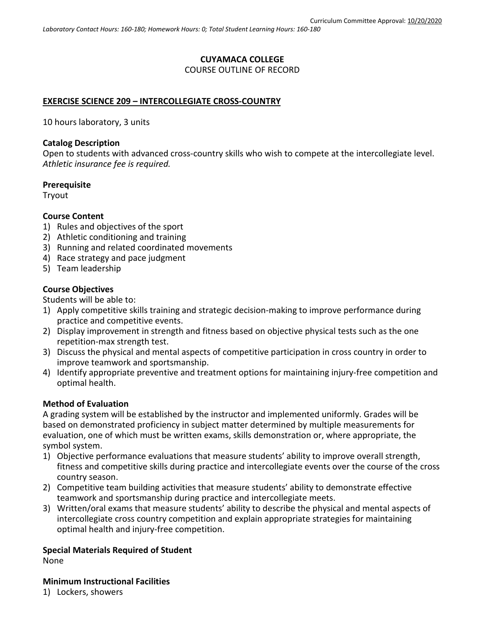# **CUYAMACA COLLEGE** COURSE OUTLINE OF RECORD

## **EXERCISE SCIENCE 209 – INTERCOLLEGIATE CROSS-COUNTRY**

10 hours laboratory, 3 units

### **Catalog Description**

Open to students with advanced cross-country skills who wish to compete at the intercollegiate level. *Athletic insurance fee is required.*

### **Prerequisite**

Tryout

## **Course Content**

- 1) Rules and objectives of the sport
- 2) Athletic conditioning and training
- 3) Running and related coordinated movements
- 4) Race strategy and pace judgment
- 5) Team leadership

## **Course Objectives**

Students will be able to:

- 1) Apply competitive skills training and strategic decision-making to improve performance during practice and competitive events.
- 2) Display improvement in strength and fitness based on objective physical tests such as the one repetition-max strength test.
- 3) Discuss the physical and mental aspects of competitive participation in cross country in order to improve teamwork and sportsmanship.
- 4) Identify appropriate preventive and treatment options for maintaining injury-free competition and optimal health.

### **Method of Evaluation**

A grading system will be established by the instructor and implemented uniformly. Grades will be based on demonstrated proficiency in subject matter determined by multiple measurements for evaluation, one of which must be written exams, skills demonstration or, where appropriate, the symbol system.

- 1) Objective performance evaluations that measure students' ability to improve overall strength, fitness and competitive skills during practice and intercollegiate events over the course of the cross country season.
- 2) Competitive team building activities that measure students' ability to demonstrate effective teamwork and sportsmanship during practice and intercollegiate meets.
- 3) Written/oral exams that measure students' ability to describe the physical and mental aspects of intercollegiate cross country competition and explain appropriate strategies for maintaining optimal health and injury-free competition.

# **Special Materials Required of Student**

None

### **Minimum Instructional Facilities**

1) Lockers, showers